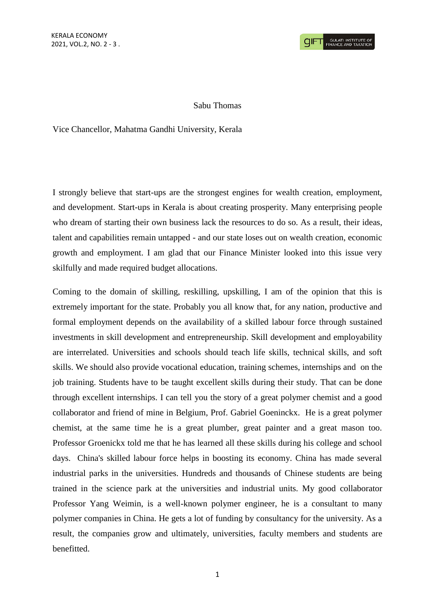## Sabu Thomas

Vice Chancellor, Mahatma Gandhi University, Kerala

I strongly believe that start-ups are the strongest engines for wealth creation, employment, and development. Start-ups in Kerala is about creating prosperity. Many enterprising people who dream of starting their own business lack the resources to do so. As a result, their ideas, talent and capabilities remain untapped - and our state loses out on wealth creation, economic growth and employment. I am glad that our Finance Minister looked into this issue very skilfully and made required budget allocations.

Coming to the domain of skilling, reskilling, upskilling, I am of the opinion that this is extremely important for the state. Probably you all know that, for any nation, productive and formal employment depends on the availability of a skilled labour force through sustained investments in skill development and entrepreneurship. Skill development and employability are interrelated. Universities and schools should teach life skills, technical skills, and soft skills. We should also provide vocational education, training schemes, internships and on the job training. Students have to be taught excellent skills during their study. That can be done through excellent internships. I can tell you the story of a great polymer chemist and a good collaborator and friend of mine in Belgium, Prof. Gabriel Goeninckx. He is a great polymer chemist, at the same time he is a great plumber, great painter and a great mason too. Professor Groenickx told me that he has learned all these skills during his college and school days. China's skilled labour force helps in boosting its economy. China has made several industrial parks in the universities. Hundreds and thousands of Chinese students are being trained in the science park at the universities and industrial units. My good collaborator Professor Yang Weimin, is a well-known polymer engineer, he is a consultant to many polymer companies in China. He gets a lot of funding by consultancy for the university. As a result, the companies grow and ultimately, universities, faculty members and students are benefitted.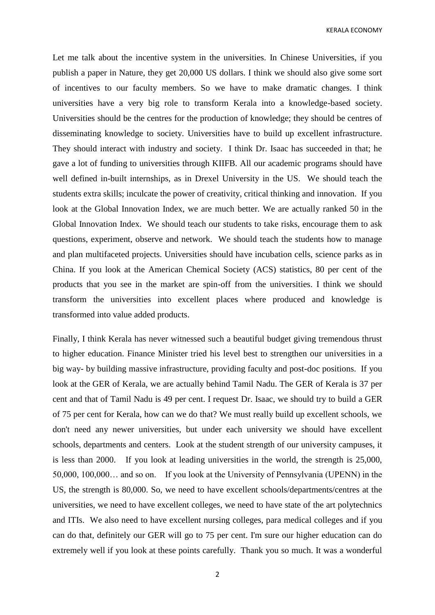KERALA ECONOMY

Let me talk about the incentive system in the universities. In Chinese Universities, if you publish a paper in Nature, they get 20,000 US dollars. I think we should also give some sort of incentives to our faculty members. So we have to make dramatic changes. I think universities have a very big role to transform Kerala into a knowledge-based society. Universities should be the centres for the production of knowledge; they should be centres of disseminating knowledge to society. Universities have to build up excellent infrastructure. They should interact with industry and society. I think Dr. Isaac has succeeded in that; he gave a lot of funding to universities through KIIFB. All our academic programs should have well defined in-built internships, as in Drexel University in the US. We should teach the students extra skills; inculcate the power of creativity, critical thinking and innovation. If you look at the Global Innovation Index, we are much better. We are actually ranked 50 in the Global Innovation Index. We should teach our students to take risks, encourage them to ask questions, experiment, observe and network. We should teach the students how to manage and plan multifaceted projects. Universities should have incubation cells, science parks as in China. If you look at the American Chemical Society (ACS) statistics, 80 per cent of the products that you see in the market are spin-off from the universities. I think we should transform the universities into excellent places where produced and knowledge is transformed into value added products.

Finally, I think Kerala has never witnessed such a beautiful budget giving tremendous thrust to higher education. Finance Minister tried his level best to strengthen our universities in a big way- by building massive infrastructure, providing faculty and post-doc positions. If you look at the GER of Kerala, we are actually behind Tamil Nadu. The GER of Kerala is 37 per cent and that of Tamil Nadu is 49 per cent. I request Dr. Isaac, we should try to build a GER of 75 per cent for Kerala, how can we do that? We must really build up excellent schools, we don't need any newer universities, but under each university we should have excellent schools, departments and centers. Look at the student strength of our university campuses, it is less than 2000. If you look at leading universities in the world, the strength is 25,000, 50,000, 100,000… and so on. If you look at the University of Pennsylvania (UPENN) in the US, the strength is 80,000. So, we need to have excellent schools/departments/centres at the universities, we need to have excellent colleges, we need to have state of the art polytechnics and ITIs. We also need to have excellent nursing colleges, para medical colleges and if you can do that, definitely our GER will go to 75 per cent. I'm sure our higher education can do extremely well if you look at these points carefully. Thank you so much. It was a wonderful

2